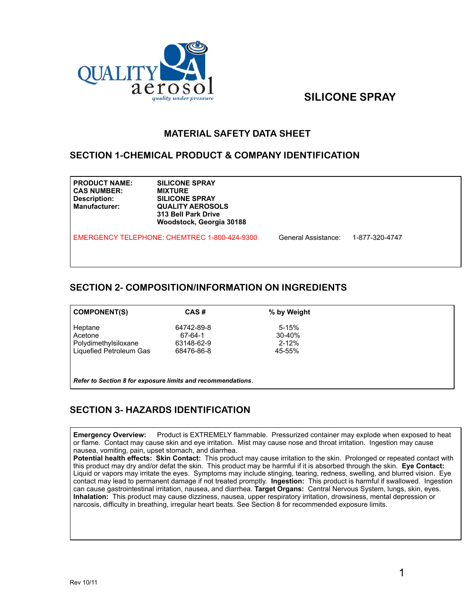

# *quality under pressure* SILICONE SPRAY

#### **MATERIAL SAFETY DATA SHEET**

#### **SECTION 1-CHEMICAL PRODUCT & COMPANY IDENTIFICATION**

| <b>PRODUCT NAME:</b><br><b>CAS NUMBER:</b><br>Description:<br><b>Manufacturer:</b> | <b>SILICONE SPRAY</b><br><b>MIXTURE</b><br><b>SILICONE SPRAY</b><br><b>QUALITY AEROSOLS</b><br>313 Bell Park Drive<br>Woodstock, Georgia 30188 |                     |                |  |
|------------------------------------------------------------------------------------|------------------------------------------------------------------------------------------------------------------------------------------------|---------------------|----------------|--|
|                                                                                    | EMERGENCY TELEPHONE: CHEMTREC 1-800-424-9300                                                                                                   | General Assistance: | 1-877-320-4747 |  |

#### **SECTION 2- COMPOSITION/INFORMATION ON INGREDIENTS**

| <b>COMPONENT(S)</b>                                         | CAS#       | % by Weight |
|-------------------------------------------------------------|------------|-------------|
| Heptane                                                     | 64742-89-8 | $5 - 15%$   |
| Acetone                                                     | 67-64-1    | $30 - 40%$  |
| Polydimethylsiloxane                                        | 63148-62-9 | $2 - 12%$   |
| Liquefied Petroleum Gas                                     | 68476-86-8 | 45-55%      |
|                                                             |            |             |
|                                                             |            |             |
| Refer to Section 8 for exposure limits and recommendations. |            |             |

## **SECTION 3- HAZARDS IDENTIFICATION**

**Emergency Overview:** Product is EXTREMELY flammable. Pressurized container may explode when exposed to heat or flame. Contact may cause skin and eye irritation. Mist may cause nose and throat irritation. Ingestion may cause nausea, vomiting, pain, upset stomach, and diarrhea.

**Potential health effects: Skin Contact:** This product may cause irritation to the skin. Prolonged or repeated contact with this product may dry and/or defat the skin. This product may be harmful if it is absorbed through the skin. **Eye Contact:**  Liquid or vapors may irritate the eyes. Symptoms may include stinging, tearing, redness, swelling, and blurred vision. Eye contact may lead to permanent damage if not treated promptly. **Ingestion:** This product is harmful if swallowed. Ingestion can cause gastrointestinal irritation, nausea, and diarrhea. **Target Organs:** Central Nervous System, lungs, skin, eyes. **Inhalation:** This product may cause dizziness, nausea, upper respiratory irritation, drowsiness, mental depression or narcosis, difficulty in breathing, irregular heart beats. See Section 8 for recommended exposure limits.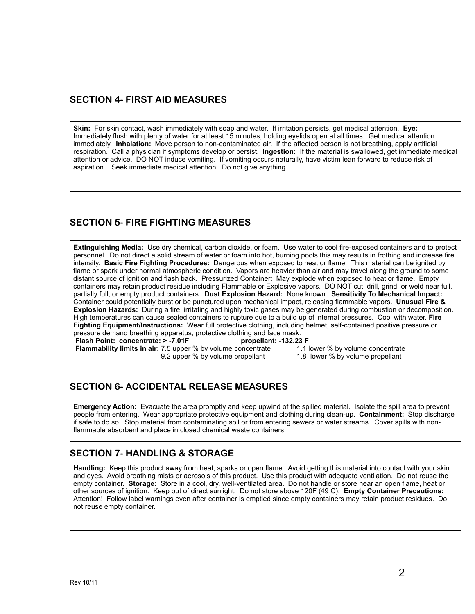#### **SECTION 4- FIRST AID MEASURES**

**Skin:** For skin contact, wash immediately with soap and water. If irritation persists, get medical attention. **Eye:** Immediately flush with plenty of water for at least 15 minutes, holding eyelids open at all times. Get medical attention immediately. **Inhalation:** Move person to non-contaminated air. If the affected person is not breathing, apply artificial respiration. Call a physician if symptoms develop or persist. **Ingestion:** If the material is swallowed, get immediate medical attention or advice. DO NOT induce vomiting. If vomiting occurs naturally, have victim lean forward to reduce risk of aspiration. Seek immediate medical attention. Do not give anything.

## **SECTION 5- FIRE FIGHTING MEASURES**

**Extinguishing Media:** Use dry chemical, carbon dioxide, or foam. Use water to cool fire-exposed containers and to protect personnel. Do not direct a solid stream of water or foam into hot, burning pools this may results in frothing and increase fire intensity. **Basic Fire Fighting Procedures:** Dangerous when exposed to heat or flame. This material can be ignited by flame or spark under normal atmospheric condition. Vapors are heavier than air and may travel along the ground to some distant source of ignition and flash back. Pressurized Container: May explode when exposed to heat or flame. Empty containers may retain product residue including Flammable or Explosive vapors. DO NOT cut, drill, grind, or weld near full, partially full, or empty product containers. **Dust Explosion Hazard:** None known. **Sensitivity To Mechanical Impact:**  Container could potentially burst or be punctured upon mechanical impact, releasing flammable vapors. **Unusual Fire & Explosion Hazards:** During a fire, irritating and highly toxic gases may be generated during combustion or decomposition. High temperatures can cause sealed containers to rupture due to a build up of internal pressures. Cool with water. **Fire Fighting Equipment/Instructions:** Wear full protective clothing, including helmet, self-contained positive pressure or pressure demand breathing apparatus, protective clothing and face mask.<br>Flash Point: concentrate: > -7.01F<br>propellant: -132.23 F

**Flash Point: concentrate: > -7.01F propellant: -132.23 F Flammability limits in air:** 7.5 upper % by volume concentrate

9.2 upper % by volume propellant 1.8 lower % by volume propellant

## **SECTION 6- ACCIDENTAL RELEASE MEASURES**

**Emergency Action:** Evacuate the area promptly and keep upwind of the spilled material. Isolate the spill area to prevent people from entering. Wear appropriate protective equipment and clothing during clean-up. **Containment:** Stop discharge if safe to do so. Stop material from contaminating soil or from entering sewers or water streams. Cover spills with nonflammable absorbent and place in closed chemical waste containers.

## **SECTION 7- HANDLING & STORAGE**

**Handling:** Keep this product away from heat, sparks or open flame. Avoid getting this material into contact with your skin and eyes. Avoid breathing mists or aerosols of this product. Use this product with adequate ventilation. Do not reuse the empty container. **Storage:** Store in a cool, dry, well-ventilated area. Do not handle or store near an open flame, heat or other sources of ignition. Keep out of direct sunlight. Do not store above 120F (49 C). **Empty Container Precautions:**  Attention! Follow label warnings even after container is emptied since empty containers may retain product residues. Do not reuse empty container.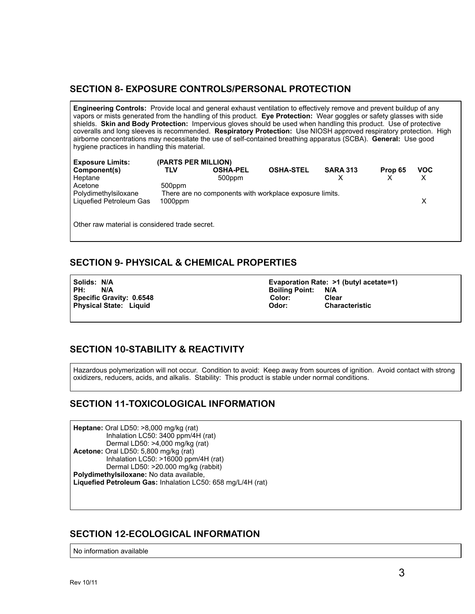#### **SECTION 8- EXPOSURE CONTROLS/PERSONAL PROTECTION**

**Engineering Controls:** Provide local and general exhaust ventilation to effectively remove and prevent buildup of any vapors or mists generated from the handling of this product. **Eye Protection:** Wear goggles or safety glasses with side shields. **Skin and Body Protection:** Impervious gloves should be used when handling this product. Use of protective coveralls and long sleeves is recommended. **Respiratory Protection:** Use NIOSH approved respiratory protection. High airborne concentrations may necessitate the use of self-contained breathing apparatus (SCBA). **General:** Use good hygiene practices in handling this material.

| <b>Exposure Limits:</b> | (PARTS PER MILLION) |                                                         |                  |                 |         |            |  |
|-------------------------|---------------------|---------------------------------------------------------|------------------|-----------------|---------|------------|--|
| Component(s)            | TLV                 | <b>OSHA-PEL</b>                                         | <b>OSHA-STEL</b> | <b>SARA 313</b> | Prop 65 | <b>VOC</b> |  |
| Heptane                 |                     | 500ppm                                                  |                  |                 |         |            |  |
| Acetone                 | 500ppm              |                                                         |                  |                 |         |            |  |
| Polydimethylsiloxane    |                     | There are no components with workplace exposure limits. |                  |                 |         |            |  |
| Liquefied Petroleum Gas | $1000$ ppm          |                                                         |                  |                 |         |            |  |
|                         |                     |                                                         |                  |                 |         |            |  |
|                         |                     |                                                         |                  |                 |         |            |  |

Other raw material is considered trade secret.

#### **SECTION 9- PHYSICAL & CHEMICAL PROPERTIES**

**Specific Gravity: 0.6548** 

Solids: N/A **Evaporation Rate: >1 (butyl acetate=1)**<br>PH: N/A **Example Register Register Register** Boiling Point: N/A **PH: N/A Boiling Point: N/A Boiling Point: N/A Boiling Point: N/A Boiling Point: N/A Physical State: Liquid Contracteristic Characteristic Characteristic Characteristic Characteristic** 

## **SECTION 10-STABILITY & REACTIVITY**

Hazardous polymerization will not occur. Condition to avoid: Keep away from sources of ignition. Avoid contact with strong oxidizers, reducers, acids, and alkalis. Stability: This product is stable under normal conditions.

## **SECTION 11-TOXICOLOGICAL INFORMATION**

**Heptane:** Oral LD50: >8,000 mg/kg (rat) Inhalation LC50: 3400 ppm/4H (rat) Dermal LD50: >4,000 mg/kg (rat) **Acetone:** Oral LD50: 5,800 mg/kg (rat) Inhalation LC50: >16000 ppm/4H (rat) Dermal LD50: >20.000 mg/kg (rabbit) **Polydimethylsiloxane:** No data available, **Liquefied Petroleum Gas:** Inhalation LC50: 658 mg/L/4H (rat)

#### **SECTION 12-ECOLOGICAL INFORMATION**

No information available